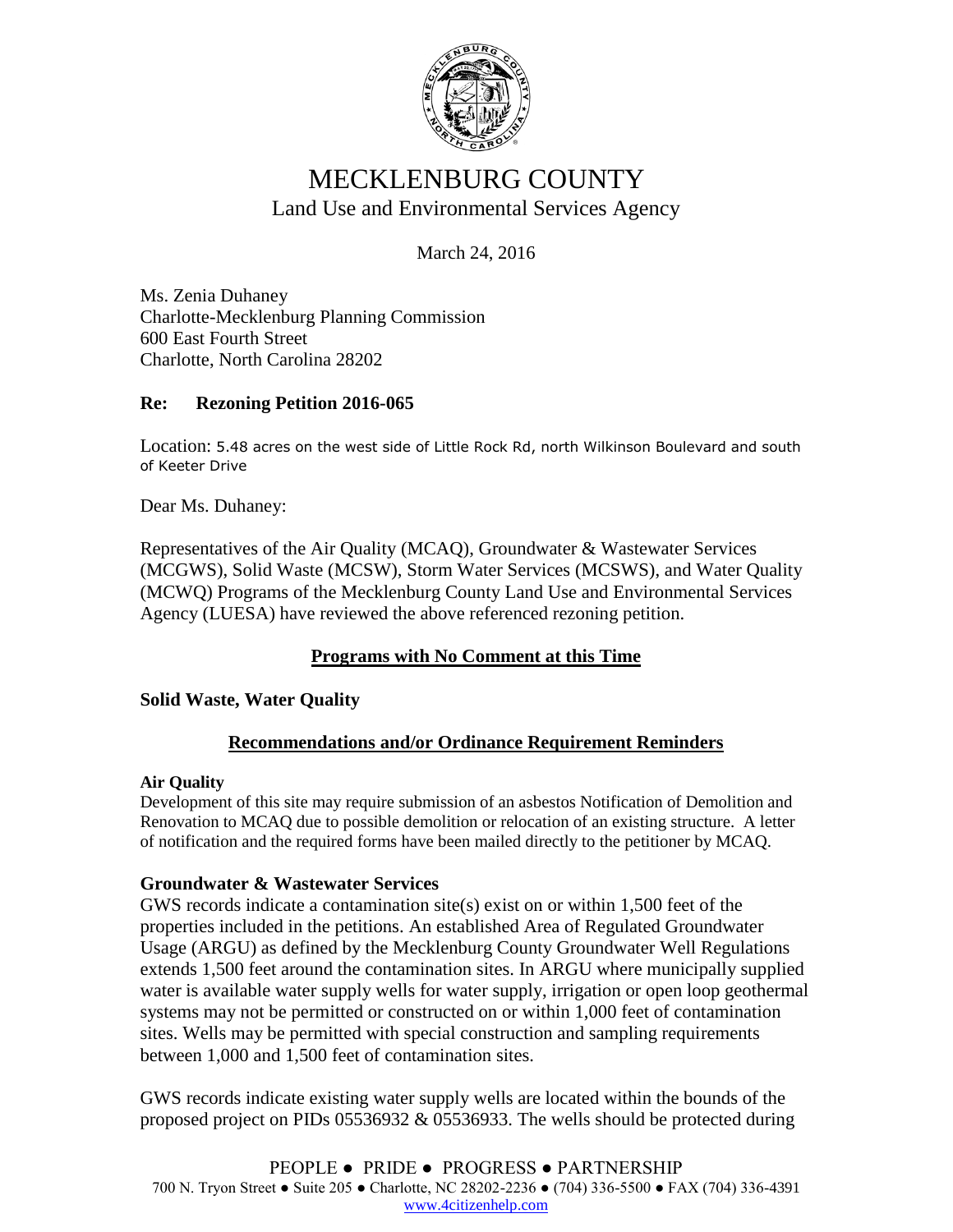

# MECKLENBURG COUNTY Land Use and Environmental Services Agency

March 24, 2016

Ms. Zenia Duhaney Charlotte-Mecklenburg Planning Commission 600 East Fourth Street Charlotte, North Carolina 28202

## **Re: Rezoning Petition 2016-065**

Location: 5.48 acres on the west side of Little Rock Rd, north Wilkinson Boulevard and south of Keeter Drive

Dear Ms. Duhaney:

Representatives of the Air Quality (MCAQ), Groundwater & Wastewater Services (MCGWS), Solid Waste (MCSW), Storm Water Services (MCSWS), and Water Quality (MCWQ) Programs of the Mecklenburg County Land Use and Environmental Services Agency (LUESA) have reviewed the above referenced rezoning petition.

## **Programs with No Comment at this Time**

### **Solid Waste, Water Quality**

## **Recommendations and/or Ordinance Requirement Reminders**

#### **Air Quality**

Development of this site may require submission of an asbestos Notification of Demolition and Renovation to MCAQ due to possible demolition or relocation of an existing structure. A letter of notification and the required forms have been mailed directly to the petitioner by MCAQ.

### **Groundwater & Wastewater Services**

GWS records indicate a contamination site(s) exist on or within 1,500 feet of the properties included in the petitions. An established Area of Regulated Groundwater Usage (ARGU) as defined by the Mecklenburg County Groundwater Well Regulations extends 1,500 feet around the contamination sites. In ARGU where municipally supplied water is available water supply wells for water supply, irrigation or open loop geothermal systems may not be permitted or constructed on or within 1,000 feet of contamination sites. Wells may be permitted with special construction and sampling requirements between 1,000 and 1,500 feet of contamination sites.

GWS records indicate existing water supply wells are located within the bounds of the proposed project on PIDs 05536932 & 05536933. The wells should be protected during